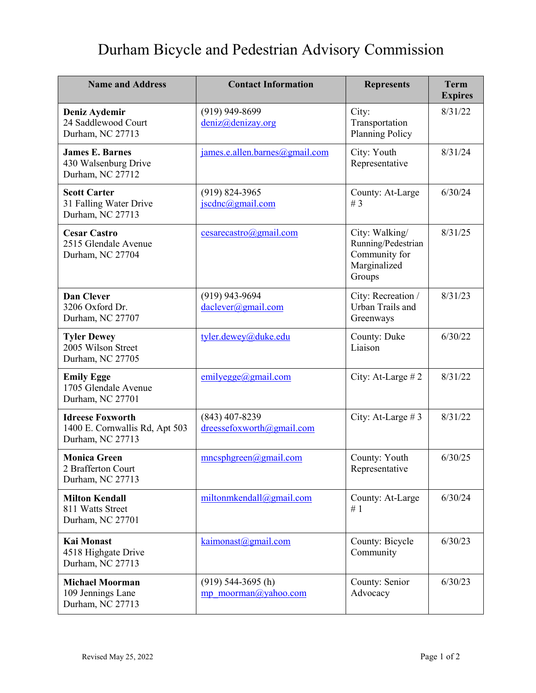## Durham Bicycle and Pedestrian Advisory Commission

| <b>Name and Address</b>                                                       | <b>Contact Information</b>                    | <b>Represents</b>                                                               | <b>Term</b><br><b>Expires</b> |
|-------------------------------------------------------------------------------|-----------------------------------------------|---------------------------------------------------------------------------------|-------------------------------|
| Deniz Aydemir<br>24 Saddlewood Court<br>Durham, NC 27713                      | $(919)$ 949-8699<br>deniz@denizay.org         | City:<br>Transportation<br><b>Planning Policy</b>                               | 8/31/22                       |
| <b>James E. Barnes</b><br>430 Walsenburg Drive<br>Durham, NC 27712            | james.e.allen.barnes@gmail.com                | City: Youth<br>Representative                                                   | 8/31/24                       |
| <b>Scott Carter</b><br>31 Falling Water Drive<br>Durham, NC 27713             | $(919) 824 - 3965$<br>jscdnc@gmail.com        | County: At-Large<br># $3$                                                       | 6/30/24                       |
| <b>Cesar Castro</b><br>2515 Glendale Avenue<br>Durham, NC 27704               | cesarecastro@gmail.com                        | City: Walking/<br>Running/Pedestrian<br>Community for<br>Marginalized<br>Groups | 8/31/25                       |
| <b>Dan Clever</b><br>3206 Oxford Dr.<br>Durham, NC 27707                      | $(919)$ 943-9694<br>daelever@gmail.com        | City: Recreation /<br>Urban Trails and<br>Greenways                             | 8/31/23                       |
| <b>Tyler Dewey</b><br>2005 Wilson Street<br>Durham, NC 27705                  | tyler.dewey@duke.edu                          | County: Duke<br>Liaison                                                         | 6/30/22                       |
| <b>Emily Egge</b><br>1705 Glendale Avenue<br>Durham, NC 27701                 | emilyegge@gmail.com                           | City: At-Large #2                                                               | 8/31/22                       |
| <b>Idreese Foxworth</b><br>1400 E. Cornwallis Rd, Apt 503<br>Durham, NC 27713 | $(843)$ 407-8239<br>dreessefoxworth@gmail.com | City: At-Large #3                                                               | 8/31/22                       |
| <b>Monica Green</b><br>2 Brafferton Court<br>Durham, NC 27713                 | mnc sphgreen(0) gmail.com                     | County: Youth<br>Representative                                                 | 6/30/25                       |
| <b>Milton Kendall</b><br>811 Watts Street<br>Durham, NC 27701                 | miltonmkendall@gmail.com                      | County: At-Large<br>#1                                                          | 6/30/24                       |
| <b>Kai Monast</b><br>4518 Highgate Drive<br>Durham, NC 27713                  | kaimonast@gmail.com                           | County: Bicycle<br>Community                                                    | 6/30/23                       |
| <b>Michael Moorman</b><br>109 Jennings Lane<br>Durham, NC 27713               | $(919)$ 544-3695 (h)<br>mp moorman@yahoo.com  | County: Senior<br>Advocacy                                                      | 6/30/23                       |